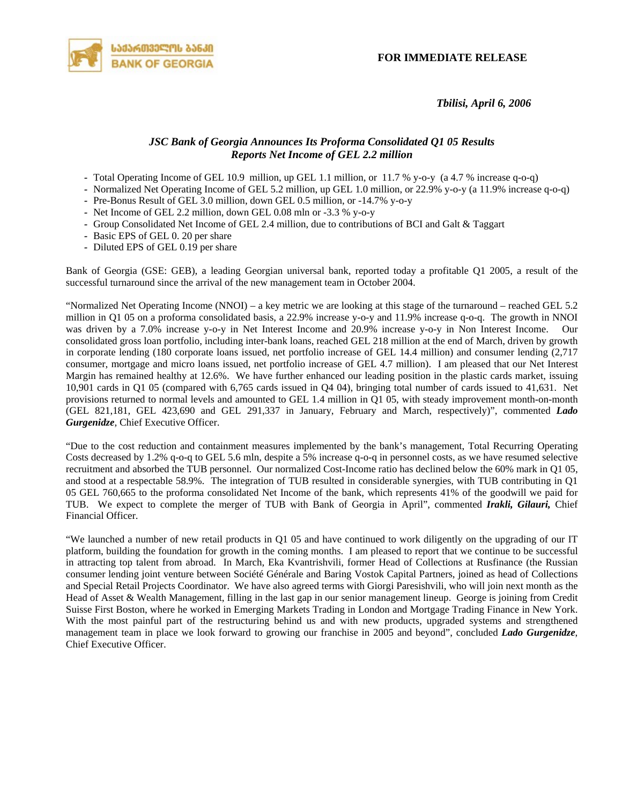**FOR IMMEDIATE RELEASE**



 *Tbilisi, April 6, 2006* 

## *JSC Bank of Georgia Announces Its Proforma Consolidated Q1 05 Results Reports Net Income of GEL 2.2 million*

- *-* Total Operating Income of GEL 10.9 million, up GEL 1.1 million, or 11.7 % y-o-y (a 4.7 % increase q-o-q)
- *-* Normalized Net Operating Income of GEL 5.2 million, up GEL 1.0 million, or 22.9% y-o-y (a 11.9% increase q-o-q)
- *-* Pre-Bonus Result of GEL 3.0 million, down GEL 0.5 million, or -14.7% y-o-y
- *-* Net Income of GEL 2.2 million, down GEL 0.08 mln or -3.3 % y-o-y
- *-* Group Consolidated Net Income of GEL 2.4 million, due to contributions of BCI and Galt & Taggart
- *-* Basic EPS of GEL 0. 20 per share
- *-* Diluted EPS of GEL 0.19 per share

Bank of Georgia (GSE: GEB), a leading Georgian universal bank, reported today a profitable Q1 2005, a result of the successful turnaround since the arrival of the new management team in October 2004.

"Normalized Net Operating Income (NNOI) – a key metric we are looking at this stage of the turnaround – reached GEL 5.2 million in Q1 05 on a proforma consolidated basis, a 22.9% increase y-o-y and 11.9% increase q-o-q. The growth in NNOI was driven by a 7.0% increase y-o-y in Net Interest Income and 20.9% increase y-o-y in Non Interest Income. Our consolidated gross loan portfolio, including inter-bank loans, reached GEL 218 million at the end of March, driven by growth in corporate lending (180 corporate loans issued, net portfolio increase of GEL 14.4 million) and consumer lending (2,717 consumer, mortgage and micro loans issued, net portfolio increase of GEL 4.7 million). I am pleased that our Net Interest Margin has remained healthy at 12.6%. We have further enhanced our leading position in the plastic cards market, issuing 10,901 cards in Q1 05 (compared with 6,765 cards issued in Q4 04), bringing total number of cards issued to 41,631. Net provisions returned to normal levels and amounted to GEL 1.4 million in Q1 05, with steady improvement month-on-month (GEL 821,181, GEL 423,690 and GEL 291,337 in January, February and March, respectively)", commented *Lado Gurgenidze*, Chief Executive Officer.

"Due to the cost reduction and containment measures implemented by the bank's management, Total Recurring Operating Costs decreased by 1.2% q-o-q to GEL 5.6 mln, despite a 5% increase q-o-q in personnel costs, as we have resumed selective recruitment and absorbed the TUB personnel. Our normalized Cost-Income ratio has declined below the 60% mark in Q1 05, and stood at a respectable 58.9%. The integration of TUB resulted in considerable synergies, with TUB contributing in Q1 05 GEL 760,665 to the proforma consolidated Net Income of the bank, which represents 41% of the goodwill we paid for TUB. We expect to complete the merger of TUB with Bank of Georgia in April", commented *Irakli, Gilauri,* Chief Financial Officer.

"We launched a number of new retail products in Q1 05 and have continued to work diligently on the upgrading of our IT platform, building the foundation for growth in the coming months. I am pleased to report that we continue to be successful in attracting top talent from abroad. In March, Eka Kvantrishvili, former Head of Collections at Rusfinance (the Russian consumer lending joint venture between Société Générale and Baring Vostok Capital Partners, joined as head of Collections and Special Retail Projects Coordinator. We have also agreed terms with Giorgi Paresishvili, who will join next month as the Head of Asset & Wealth Management, filling in the last gap in our senior management lineup. George is joining from Credit Suisse First Boston, where he worked in Emerging Markets Trading in London and Mortgage Trading Finance in New York. With the most painful part of the restructuring behind us and with new products, upgraded systems and strengthened management team in place we look forward to growing our franchise in 2005 and beyond", concluded *Lado Gurgenidze*, Chief Executive Officer.